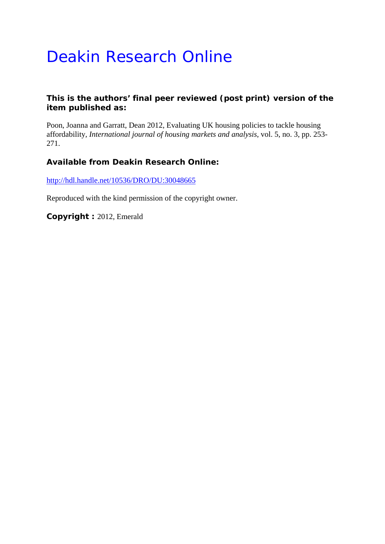# Deakin Research Online

## **This is the authors' final peer reviewed (post print) version of the item published as:**

Poon, Joanna and Garratt, Dean 2012, Evaluating UK housing policies to tackle housing affordability*, International journal of housing markets and analysis*, vol. 5, no. 3, pp. 253- 271.

### **Available from Deakin Research Online:**

http://hdl.handle.net/10536/DRO/DU:30048665

Reproduced with the kind permission of the copyright owner.

**Copyright :** 2012, Emerald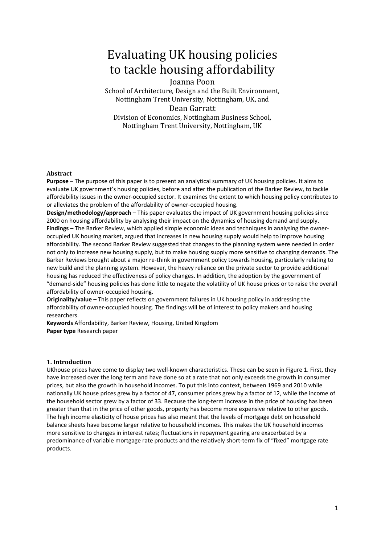## Evaluating UK housing policies to tackle housing affordability

Joanna Poon 

School of Architecture, Design and the Built Environment, Nottingham Trent University, Nottingham, UK, and Dean Garratt Division of Economics, Nottingham Business School, Nottingham Trent University, Nottingham, UK

#### **Abstract**

**Purpose** – The purpose of this paper is to present an analytical summary of UK housing policies. It aims to evaluate UK government's housing policies, before and after the publication of the Barker Review, to tackle affordability issues in the owner‐occupied sector. It examines the extent to which housing policy contributes to or alleviates the problem of the affordability of owner‐occupied housing.

**Design/methodology/approach** – This paper evaluates the impact of UK government housing policies since 2000 on housing affordability by analysing their impact on the dynamics of housing demand and supply. **Findings –** The Barker Review, which applied simple economic ideas and techniques in analysing the owner‐ occupied UK housing market, argued that increases in new housing supply would help to improve housing affordability. The second Barker Review suggested that changes to the planning system were needed in order not only to increase new housing supply, but to make housing supply more sensitive to changing demands. The Barker Reviews brought about a major re‐think in government policy towards housing, particularly relating to new build and the planning system. However, the heavy reliance on the private sector to provide additional housing has reduced the effectiveness of policy changes. In addition, the adoption by the government of "demand‐side" housing policies has done little to negate the volatility of UK house prices or to raise the overall affordability of owner‐occupied housing.

**Originality/value –** This paper reflects on government failures in UK housing policy in addressing the affordability of owner‐occupied housing. The findings will be of interest to policy makers and housing researchers.

**Keywords** Affordability, Barker Review, Housing, United Kingdom **Paper type** Research paper

#### **1. Introduction**

UKhouse prices have come to display two well‐known characteristics. These can be seen in Figure 1. First, they have increased over the long term and have done so at a rate that not only exceeds the growth in consumer prices, but also the growth in household incomes. To put this into context, between 1969 and 2010 while nationally UK house prices grew by a factor of 47, consumer prices grew by a factor of 12, while the income of the household sector grew by a factor of 33. Because the long-term increase in the price of housing has been greater than that in the price of other goods, property has become more expensive relative to other goods. The high income elasticity of house prices has also meant that the levels of mortgage debt on household balance sheets have become larger relative to household incomes. This makes the UK household incomes more sensitive to changes in interest rates; fluctuations in repayment gearing are exacerbated by a predominance of variable mortgage rate products and the relatively short‐term fix of "fixed" mortgage rate products.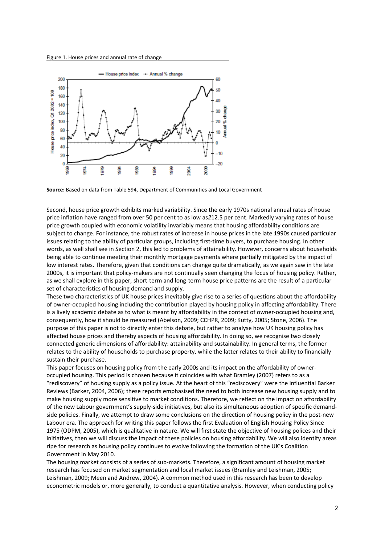

**Source:** Based on data from Table 594, Department of Communities and Local Government

Second, house price growth exhibits marked variability. Since the early 1970s national annual rates of house price inflation have ranged from over 50 per cent to as low as*2*12.5 per cent. Markedly varying rates of house price growth coupled with economic volatility invariably means that housing affordability conditions are subject to change. For instance, the robust rates of increase in house prices in the late 1990s caused particular issues relating to the ability of particular groups, including first-time buyers, to purchase housing. In other words, as well shall see in Section 2, this led to problems of attainability. However, concerns about households being able to continue meeting their monthly mortgage payments where partially mitigated by the impact of low interest rates. Therefore, given that conditions can change quite dramatically, as we again saw in the late 2000s, it is important that policy‐makers are not continually seen changing the focus of housing policy. Rather, as we shall explore in this paper, short-term and long-term house price patterns are the result of a particular set of characteristics of housing demand and supply.

These two characteristics of UK house prices inevitably give rise to a series of questions about the affordability of owner‐occupied housing including the contribution played by housing policy in affecting affordability. There is a lively academic debate as to what is meant by affordability in the context of owner‐occupied housing and, consequently, how it should be measured (Abelson, 2009; CCHPR, 2009; Kutty, 2005; Stone, 2006). The purpose of this paper is not to directly enter this debate, but rather to analyse how UK housing policy has affected house prices and thereby aspects of housing affordability. In doing so, we recognise two closely connected generic dimensions of affordability: attainability and sustainability. In general terms, the former relates to the ability of households to purchase property, while the latter relates to their ability to financially sustain their purchase.

This paper focuses on housing policy from the early 2000s and its impact on the affordability of owner‐ occupied housing. This period is chosen because it coincides with what Bramley (2007) refers to as a "rediscovery" of housing supply as a policy issue. At the heart of this "rediscovery" were the influential Barker Reviews (Barker, 2004, 2006); these reports emphasised the need to both increase new housing supply and to make housing supply more sensitive to market conditions. Therefore, we reflect on the impact on affordability of the new Labour government's supply‐side initiatives, but also its simultaneous adoption of specific demand‐ side policies. Finally, we attempt to draw some conclusions on the direction of housing policy in the post-new Labour era. The approach for writing this paper follows the first Evaluation of English Housing Policy Since 1975 (ODPM, 2005), which is qualitative in nature. We will first state the objective of housing polices and their initiatives, then we will discuss the impact of these policies on housing affordability. We will also identify areas ripe for research as housing policy continues to evolve following the formation of the UK's Coalition Government in May 2010.

The housing market consists of a series of sub-markets. Therefore, a significant amount of housing market research has focused on market segmentation and local market issues (Bramley and Leishman, 2005; Leishman, 2009; Meen and Andrew, 2004). A common method used in this research has been to develop econometric models or, more generally, to conduct a quantitative analysis. However, when conducting policy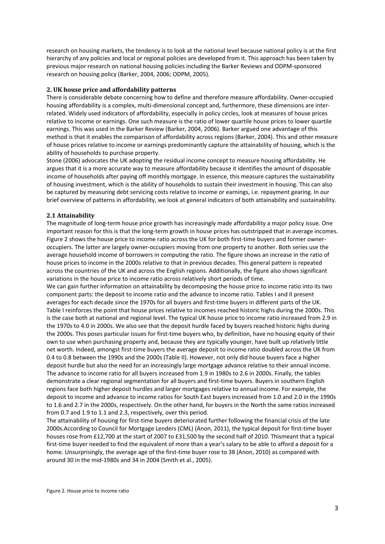research on housing markets, the tendency is to look at the national level because national policy is at the first hierarchy of any policies and local or regional policies are developed from it. This approach has been taken by previous major research on national housing policies including the Barker Reviews and ODPM‐sponsored research on housing policy (Barker, 2004, 2006; ODPM, 2005).

#### **2. UK house price and affordability patterns**

There is considerable debate concerning how to define and therefore measure affordability. Owner‐occupied housing affordability is a complex, multi-dimensional concept and, furthermore, these dimensions are interrelated. Widely used indicators of affordability, especially in policy circles, look at measures of house prices relative to income or earnings. One such measure is the ratio of lower quartile house prices to lower quartile earnings. This was used in the Barker Review (Barker, 2004, 2006). Barker argued one advantage of this method is that it enables the comparison of affordability across regions (Barker, 2004). This and other measure of house prices relative to income or earnings predominantly capture the attainability of housing, which is the ability of households to purchase property.

Stone (2006) advocates the UK adopting the residual income concept to measure housing affordability. He argues that it is a more accurate way to measure affordability because it identifies the amount of disposable income of households after paying off monthly mortgage. In essence, this measure captures the sustainability of housing investment, which is the ability of households to sustain their investment in housing. This can also be captured by measuring debt servicing costs relative to income or earnings, i.e. repayment gearing. In our brief overview of patterns in affordability, we look at general indicators of both attainability and sustainability.

#### **2.1 Attainability**

The magnitude of long-term house price growth has increasingly made affordability a major policy issue. One important reason for this is that the long-term growth in house prices has outstripped that in average incomes. Figure 2 shows the house price to income ratio across the UK for both first-time buyers and former owneroccupiers. The latter are largely owner‐occupiers moving from one property to another. Both series use the average household income of borrowers in computing the ratio. The figure shows an increase in the ratio of house prices to income in the 2000s relative to that in previous decades. This general pattern is repeated across the countries of the UK and across the English regions. Additionally, the figure also shows significant variations in the house price to income ratio across relatively short periods of time.

We can gain further information on attainability by decomposing the house price to income ratio into its two component parts: the deposit to income ratio and the advance to income ratio. Tables I and II present averages for each decade since the 1970s for all buyers and first‐time buyers in different parts of the UK. Table I reinforces the point that house prices relative to incomes reached historic highs during the 2000s. This is the case both at national and regional level. The typical UK house price to income ratio increased from 2.9 in the 1970s to 4.0 in 2000s. We also see that the deposit hurdle faced by buyers reached historic highs during the 2000s. This poses particular issues for first-time buyers who, by definition, have no housing equity of their own to use when purchasing property and, because they are typically younger, have built up relatively little net worth. Indeed, amongst first-time buyers the average deposit to income ratio doubled across the UK from 0.4 to 0.8 between the 1990s and the 2000s (Table II). However, not only did house buyers face a higher deposit hurdle but also the need for an increasingly large mortgage advance relative to their annual income. The advance to income ratio for all buyers increased from 1.9 in 1980s to 2.6 in 2000s. Finally, the tables demonstrate a clear regional segmentation for all buyers and first-time buyers. Buyers in southern English regions face both higher deposit hurdles and larger mortgages relative to annual income. For example, the deposit to income and advance to income ratios for South East buyers increased from 1.0 and 2.0 in the 1990s to 1.6 and 2.7 in the 2000s, respectively. On the other hand, for buyers in the North the same ratios increased from 0.7 and 1.9 to 1.1 and 2.3, respectively, over this period.

The attainability of housing for first-time buyers deteriorated further following the financial crisis of the late 2000s.According to Council for Mortgage Lenders (CML) (Anon, 2011), the typical deposit for first-time buyer houses rose from £12,700 at the start of 2007 to £31,500 by the second half of 2010. Thismeant that a typical first-time buyer needed to find the equivalent of more than a year's salary to be able to afford a deposit for a home. Unsurprisingly, the average age of the first-time buyer rose to 38 (Anon, 2010) as compared with around 30 in the mid‐1980s and 34 in 2004 (Smith et al., 2005).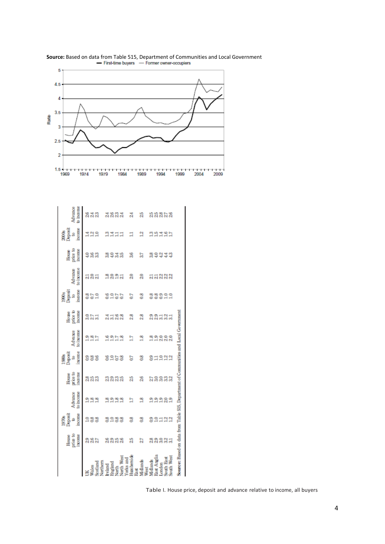

|                                                                                      | House<br>price to<br>income | $\begin{array}{l} \text{1976} \\ \text{Depost} \\ \text{inome} \end{array}$ | Advance<br>to income | House<br>rice to<br>nome | 1998<br>Deposit<br>income | Advance<br>to income | House<br>vice to<br>noonse | $\begin{array}{l} 1998 \\ \text{Dep} \\ \text{hence} \end{array}$ | Advance<br>to income | House<br>price to<br>income | 2008<br>Deposit<br>Licome | Advance<br>io income |
|--------------------------------------------------------------------------------------|-----------------------------|-----------------------------------------------------------------------------|----------------------|--------------------------|---------------------------|----------------------|----------------------------|-------------------------------------------------------------------|----------------------|-----------------------------|---------------------------|----------------------|
|                                                                                      | 285                         | ទ<br>33                                                                     | ೨೨೨                  | 2952<br>2952             | 333                       | 225                  | 855                        | 353                                                               | ដនដ                  | ន្លន                        | ្មន<br>ă                  |                      |
| England<br>reland<br>North<br>Yorks<br>North<br>2                                    | ន្លន<br>88                  | 23<br>33                                                                    | ۹g<br>ഇ ഇ            | នាងនាង                   | 3253                      |                      | 28                         | 3255                                                              | ສສສສ                 | នទងន                        | 9333                      | ននន                  |
| ă<br>end<br>and<br>Midlands<br>Humb<br>ă                                             | 쎪<br>ã                      | g<br>3                                                                      | h<br>≌               | 녧<br>g                   | g<br>2                    | ≌<br>s               | 28<br>28                   | 5<br>3                                                            | ន<br>ន               | 9<br>ā                      | ₫                         | ्य<br>쎫              |
| <b>Bast Anglia</b><br>South Bast<br>South West<br>Midland<br>London<br>I             | ಇನಿ<br>ននន                  | 2<br>2122                                                                   | ສສສສ                 | ã<br>នននន                | 31333                     | œ<br>2333            | å                          | 33333                                                             | ដដងដង                | 29933                       | នទនទង                     | ងងនិដ្ឋន             |
| Source: Based on data from Table 515, Department of Communities and Local Government |                             |                                                                             |                      |                          |                           |                      |                            |                                                                   |                      |                             |                           |                      |

J.

**Source:** Based on data from Table 515, Department of Communities and Local Government<br>
- First-time buyers - Former owner-occupiers

Table I. House price, deposit and advance relative to income, all buyers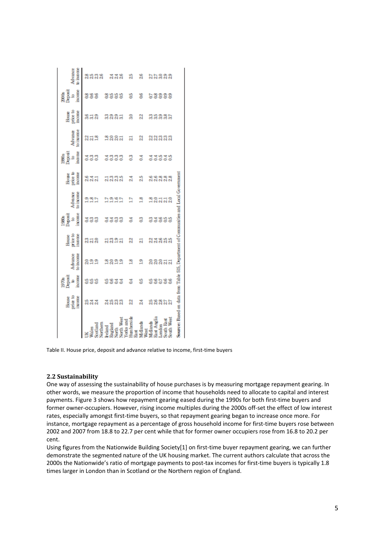| Advance<br>to income                                                         | 535    | ನೆ ನೆ ನಿ                                       | 쎫<br>26                          | ដដនងង                                                                        |                                                                                      |
|------------------------------------------------------------------------------|--------|------------------------------------------------|----------------------------------|------------------------------------------------------------------------------|--------------------------------------------------------------------------------------|
| $\begin{array}{c} 2006 \\ \text{Depost} \\ \text{in one} \end{array}$        | 333    |                                                |                                  | 3999 9 3 53333                                                               |                                                                                      |
| House<br>price to<br>income                                                  | ន្លងន  | ននានាង                                         | ន<br>얿                           | 35335                                                                        |                                                                                      |
| Advance<br>to income                                                         | ន្ននា  | នីឌីឌីដ                                        | 읿.<br>ੜ ।                        | អង្គអង្គអ                                                                    |                                                                                      |
| 1998<br>Deposit<br>income                                                    | 333    | 3333                                           | 2<br>3                           | 33333                                                                        |                                                                                      |
| House<br>price to<br>income                                                  | 835    | ದ ದ ದ ದ<br>ದ ದ ದ ದ                             | ă<br>븳                           | ပြောပြောထုတ်<br>ကြံလက်ပြ                                                     |                                                                                      |
| to income<br>Advance                                                         | 995    | 5225                                           | $\frac{8}{11}$<br>S              | ដដន                                                                          |                                                                                      |
| 1998<br>Deposit<br>income                                                    | 333    | 333                                            | ž<br>g                           | g<br>3333                                                                    |                                                                                      |
| $\begin{array}{c}\n\text{House} \\ \text{mize} \\ \text{no me}\n\end{array}$ | ឌីដន   | ដនទីដ                                          | 읞<br>븗                           | .<br>여성 30 원 원<br>이 30 원 원 원                                                 |                                                                                      |
| Advance<br>to income                                                         | ສອອ    | ສສສສ                                           | Ã<br>g                           | ននន្ទដដ                                                                      |                                                                                      |
| 1970s<br>Deposit<br>income                                                   | 999    | ತತ                                             | ă<br>g                           | 93533                                                                        |                                                                                      |
| House<br>price to<br>income                                                  | ងូគីគី | 2833                                           | g<br>ă                           | 500055                                                                       |                                                                                      |
|                                                                              |        | England<br>North<br>reland<br>North<br>Yorks : | d<br>រូ<br>Bast<br>Midlands<br>İ | East Anglia<br>West<br>South East<br>Midland<br>London<br>South <sup>1</sup> | Source: Based on data from Table 515, Department of Communities and Local Government |

Table II. House price, deposit and advance relative to income, first-time buyers

#### **2.2 Sustainability**

One way of assessing the sustainability of house purchases is by measuring mortgage repayment gearing. In other words, we measure the proportion of income that households need to allocate to capital and interest payments. Figure 3 shows how repayment gearing eased during the 1990s for both first-time buyers and former owner-occupiers. However, rising income multiples during the 2000s off-set the effect of low interest rates, especially amongst first-time buyers, so that repayment gearing began to increase once more. For instance, mortgage repayment as a percentage of gross household income for first-time buyers rose between 2002 and 2007 from 18.8 to 22.7 per cent while that for former owner occupiers rose from 16.8 to 20.2 per cent.

Using figures from the Nationwide Building Society[1] on first-time buyer repayment gearing, we can further demonstrate the segmented nature of the UK housing market. The current authors calculate that across the 2000s the Nationwide's ratio of mortgage payments to post-tax incomes for first-time buyers is typically 1.8 times larger in London than in Scotland or the Northern region of England.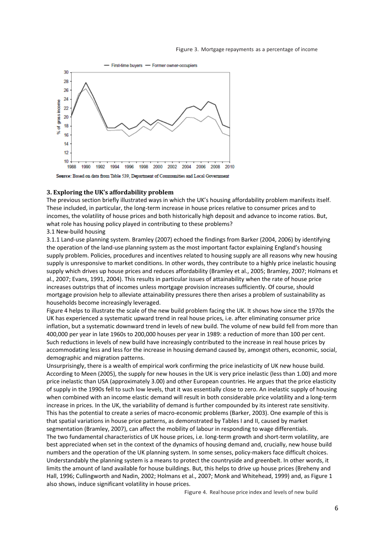#### Figure 3. Mortgage repayments as a percentage of income



#### **3. Exploring the UK's affordability problem**

The previous section briefly illustrated ways in which the UK's housing affordability problem manifests itself. These included, in particular, the long‐term increase in house prices relative to consumer prices and to incomes, the volatility of house prices and both historically high deposit and advance to income ratios. But, what role has housing policy played in contributing to these problems?

#### 3.1 New‐build housing

3.1.1 Land‐use planning system. Bramley (2007) echoed the findings from Barker (2004, 2006) by identifying the operation of the land‐use planning system as the most important factor explaining England's housing supply problem. Policies, procedures and incentives related to housing supply are all reasons why new housing supply is unresponsive to market conditions. In other words, they contribute to a highly price inelastic housing supply which drives up house prices and reduces affordability (Bramley et al., 2005; Bramley, 2007; Holmans et al., 2007; Evans, 1991, 2004). This results in particular issues of attainability when the rate of house price increases outstrips that of incomes unless mortgage provision increases sufficiently. Of course, should mortgage provision help to alleviate attainability pressures there then arises a problem of sustainability as households become increasingly leveraged.

Figure 4 helps to illustrate the scale of the new build problem facing the UK. It shows how since the 1970s the UK has experienced a systematic upward trend in real house prices, i.e. after eliminating consumer price inflation, but a systematic downward trend in levels of new build. The volume of new build fell from more than 400,000 per year in late 1960s to 200,000 houses per year in 1989: a reduction of more than 100 per cent. Such reductions in levels of new build have increasingly contributed to the increase in real house prices by accommodating less and less for the increase in housing demand caused by, amongst others, economic, social, demographic and migration patterns.

Unsurprisingly, there is a wealth of empirical work confirming the price inelasticity of UK new house build. According to Meen (2005), the supply for new houses in the UK is very price inelastic (less than 1.00) and more price inelastic than USA (approximately 3.00) and other European countries. He argues that the price elasticity of supply in the 1990s fell to such low levels, that it was essentially close to zero. An inelastic supply of housing when combined with an income elastic demand will result in both considerable price volatility and a long-term increase in prices. In the UK, the variability of demand is further compounded by its interest rate sensitivity. This has the potential to create a series of macro‐economic problems (Barker, 2003). One example of this is that spatial variations in house price patterns, as demonstrated by Tables I and II, caused by market segmentation (Bramley, 2007), can affect the mobility of labour in responding to wage differentials. The two fundamental characteristics of UK house prices, i.e. long-term growth and short-term volatility, are best appreciated when set in the context of the dynamics of housing demand and, crucially, new house build numbers and the operation of the UK planning system. In some senses, policy-makers face difficult choices. Understandably the planning system is a means to protect the countryside and greenbelt. In other words, it limits the amount of land available for house buildings. But, this helps to drive up house prices (Breheny and Hall, 1996; Cullingworth and Nadin, 2002; Holmans et al., 2007; Monk and Whitehead, 1999) and, as Figure 1 also shows, induce significant volatility in house prices.

Figure 4. Real house price index and levels of new build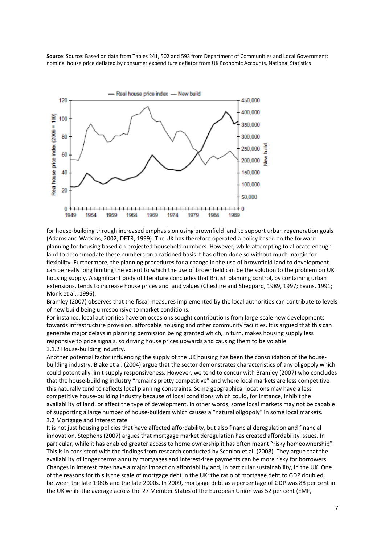**Source:** Source: Based on data from Tables 241, 502 and 593 from Department of Communities and Local Government; nominal house price deflated by consumer expenditure deflator from UK Economic Accounts, National Statistics



for house‐building through increased emphasis on using brownfield land to support urban regeneration goals (Adams and Watkins, 2002; DETR, 1999). The UK has therefore operated a policy based on the forward planning for housing based on projected household numbers. However, while attempting to allocate enough land to accommodate these numbers on a rationed basis it has often done so without much margin for flexibility. Furthermore, the planning procedures for a change in the use of brownfield land to development can be really long limiting the extent to which the use of brownfield can be the solution to the problem on UK housing supply. A significant body of literature concludes that British planning control, by containing urban extensions, tends to increase house prices and land values (Cheshire and Sheppard, 1989, 1997; Evans, 1991; Monk et al., 1996).

Bramley (2007) observes that the fiscal measures implemented by the local authorities can contribute to levels of new build being unresponsive to market conditions.

For instance, local authorities have on occasions sought contributions from large‐scale new developments towards infrastructure provision, affordable housing and other community facilities. It is argued that this can generate major delays in planning permission being granted which, in turn, makes housing supply less responsive to price signals, so driving house prices upwards and causing them to be volatile. 3.1.2 House‐building industry.

Another potential factor influencing the supply of the UK housing has been the consolidation of the house‐ building industry. Blake et al. (2004) argue that the sector demonstrates characteristics of any oligopoly which could potentially limit supply responsiveness. However, we tend to concur with Bramley (2007) who concludes that the house‐building industry "remains pretty competitive" and where local markets are less competitive this naturally tend to reflects local planning constraints. Some geographical locations may have a less competitive house‐building industry because of local conditions which could, for instance, inhibit the availability of land, or affect the type of development. In other words, some local markets may not be capable of supporting a large number of house-builders which causes a "natural oligopoly" in some local markets. 3.2 Mortgage and interest rate

It is not just housing policies that have affected affordability, but also financial deregulation and financial innovation. Stephens (2007) argues that mortgage market deregulation has created affordability issues. In particular, while it has enabled greater access to home ownership it has often meant "risky homeownership". This is in consistent with the findings from research conducted by Scanlon et al. (2008). They argue that the availability of longer terms annuity mortgages and interest-free payments can be more risky for borrowers. Changes in interest rates have a major impact on affordability and, in particular sustainability, in the UK. One of the reasons for this is the scale of mortgage debt in the UK: the ratio of mortgage debt to GDP doubled between the late 1980s and the late 2000s. In 2009, mortgage debt as a percentage of GDP was 88 per cent in the UK while the average across the 27 Member States of the European Union was 52 per cent (EMF,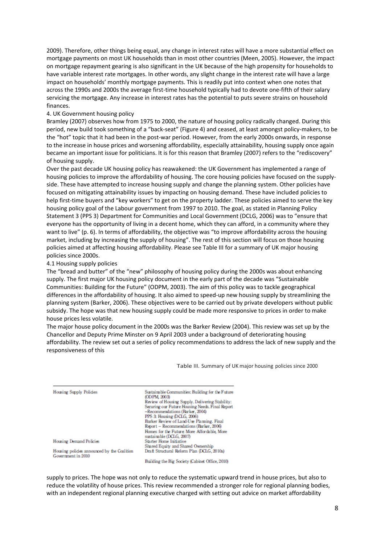2009). Therefore, other things being equal, any change in interest rates will have a more substantial effect on mortgage payments on most UK households than in most other countries (Meen, 2005). However, the impact on mortgage repayment gearing is also significant in the UK because of the high propensity for households to have variable interest rate mortgages. In other words, any slight change in the interest rate will have a large impact on households' monthly mortgage payments. This is readily put into context when one notes that across the 1990s and 2000s the average first‐time household typically had to devote one‐fifth of their salary servicing the mortgage. Any increase in interest rates has the potential to puts severe strains on household finances.

#### 4. UK Government housing policy

Bramley (2007) observes how from 1975 to 2000, the nature of housing policy radically changed. During this period, new build took something of a "back‐seat" (Figure 4) and ceased, at least amongst policy‐makers, to be the "hot" topic that it had been in the post-war period. However, from the early 2000s onwards, in response to the increase in house prices and worsening affordability, especially attainability, housing supply once again became an important issue for politicians. It is for this reason that Bramley (2007) refers to the "rediscovery" of housing supply.

Over the past decade UK housing policy has reawakened: the UK Government has implemented a range of housing policies to improve the affordability of housing. The core housing policies have focused on the supply‐ side. These have attempted to increase housing supply and change the planning system. Other policies have focused on mitigating attainability issues by impacting on housing demand. These have included policies to help first-time buyers and "key workers" to get on the property ladder. These policies aimed to serve the key housing policy goal of the Labour government from 1997 to 2010. The goal, as stated in Planning Policy Statement 3 (PPS 3) Department for Communities and Local Government (DCLG, 2006) was to "ensure that everyone has the opportunity of living in a decent home, which they can afford, in a community where they want to live" (p. 6). In terms of affordability, the objective was "to improve affordability across the housing market, including by increasing the supply of housing". The rest of this section will focus on those housing policies aimed at affecting housing affordability. Please see Table III for a summary of UK major housing policies since 2000s.

#### 4.1 Housing supply policies

The "bread and butter" of the "new" philosophy of housing policy during the 2000s was about enhancing supply. The first major UK housing policy document in the early part of the decade was "Sustainable Communities: Building for the Future" (ODPM, 2003). The aim of this policy was to tackle geographical differences in the affordability of housing. It also aimed to speed-up new housing supply by streamlining the planning system (Barker, 2006). These objectives were to be carried out by private developers without public subsidy. The hope was that new housing supply could be made more responsive to prices in order to make house prices less volatile.

The major house policy document in the 2000s was the Barker Review (2004). This review was set up by the Chancellor and Deputy Prime Minster on 9 April 2003 under a background of deteriorating housing affordability. The review set out a series of policy recommendations to address the lack of new supply and the responsiveness of this

| <b>Housing Supply Policies</b>                                    | Sustainable Communities: Building for the Future<br>(ODPM 2003) |
|-------------------------------------------------------------------|-----------------------------------------------------------------|
|                                                                   | Review of Housing Supply. Delivering Stability:                 |
|                                                                   | Securing our Future Housing Needs, Final Report                 |
|                                                                   | -Recommendations (Barker, 2004)                                 |
|                                                                   | PPS 3: Housing (DCLG, 2006)                                     |
|                                                                   | Barker Review of Land-Use Planning, Final                       |
|                                                                   | Report - Recommendations (Barker, 2006)                         |
|                                                                   | Homes for the Future More Affordable More                       |
|                                                                   | sustainable (DCLG, 2007)                                        |
| <b>Housing Demand Policies</b>                                    | <b>Starter Home Initiative</b>                                  |
|                                                                   | Shared Equity and Shared Ownership                              |
| Housing policies announced by the Coalition<br>Government in 2010 | Draft Structural Reform Plan (DCLG, 2010a)                      |
|                                                                   | Building the Big Society (Cabinet Office, 2010).                |

Table III. Summary of UK major housing policies since 2000

supply to prices. The hope was not only to reduce the systematic upward trend in house prices, but also to reduce the volatility of house prices. This review recommended a stronger role for regional planning bodies, with an independent regional planning executive charged with setting out advice on market affordability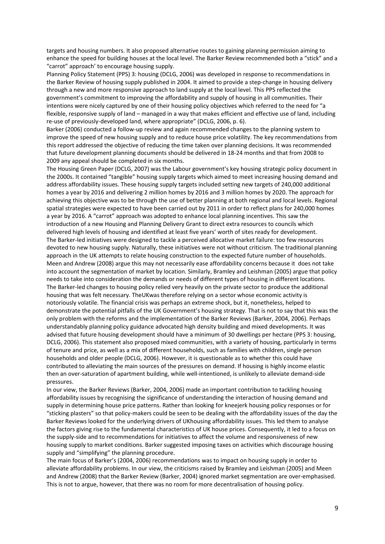targets and housing numbers. It also proposed alternative routes to gaining planning permission aiming to enhance the speed for building houses at the local level. The Barker Review recommended both a "stick" and a "carrot" approach' to encourage housing supply.

Planning Policy Statement (PPS) 3: housing (DCLG, 2006) was developed in response to recommendations in the Barker Review of housing supply published in 2004. It aimed to provide a step-change in housing delivery through a new and more responsive approach to land supply at the local level. This PPS reflected the government's commitment to improving the affordability and supply of housing in all communities. Their intentions were nicely captured by one of their housing policy objectives which referred to the need for "a flexible, responsive supply of land – managed in a way that makes efficient and effective use of land, including re‐use of previously‐developed land, where appropriate" (DCLG, 2006, p. 6).

Barker (2006) conducted a follow-up review and again recommended changes to the planning system to improve the speed of new housing supply and to reduce house price volatility. The key recommendations from this report addressed the objective of reducing the time taken over planning decisions. It was recommended that future development planning documents should be delivered in 18‐24 months and that from 2008 to 2009 any appeal should be completed in six months.

The Housing Green Paper (DCLG, 2007) was the Labour government's key housing strategic policy document in the 2000s. It contained "tangible" housing supply targets which aimed to meet increasing housing demand and address affordability issues. These housing supply targets included setting new targets of 240,000 additional homes a year by 2016 and delivering 2 million homes by 2016 and 3 million homes by 2020. The approach for achieving this objective was to be through the use of better planning at both regional and local levels. Regional spatial strategies were expected to have been carried out by 2011 in order to reflect plans for 240,000 homes a year by 2016. A "carrot" approach was adopted to enhance local planning incentives. This saw the introduction of a new Housing and Planning Delivery Grant to direct extra resources to councils which delivered high levels of housing and identified at least five years' worth of sites ready for development. The Barker‐led initiatives were designed to tackle a perceived allocative market failure: too few resources devoted to new housing supply. Naturally, these initiatives were not without criticism. The traditional planning approach in the UK attempts to relate housing construction to the expected future number of households. Meen and Andrew (2008) argue this may not necessarily ease affordability concerns because it does not take into account the segmentation of market by location. Similarly, Bramley and Leishman (2005) argue that policy needs to take into consideration the demands or needs of different types of housing in different locations. The Barker‐led changes to housing policy relied very heavily on the private sector to produce the additional housing that was felt necessary. TheUKwas therefore relying on a sector whose economic activity is notoriously volatile. The financial crisis was perhaps an extreme shock, but it, nonetheless, helped to demonstrate the potential pitfalls of the UK Government's housing strategy. That is not to say that this was the only problem with the reforms and the implementation of the Barker Reviews (Barker, 2004, 2006). Perhaps understandably planning policy guidance advocated high density building and mixed developments. It was advised that future housing development should have a minimum of 30 dwellings per hectare (PPS 3: housing, DCLG, 2006). This statement also proposed mixed communities, with a variety of housing, particularly in terms of tenure and price, as well as a mix of different households, such as families with children, single person households and older people (DCLG, 2006). However, it is questionable as to whether this could have contributed to alleviating the main sources of the pressures on demand. If housing is highly income elastic then an over‐saturation of apartment building, while well‐intentioned, is unlikely to alleviate demand‐side pressures.

In our view, the Barker Reviews (Barker, 2004, 2006) made an important contribution to tackling housing affordability issues by recognising the significance of understanding the interaction of housing demand and supply in determining house price patterns. Rather than looking for kneejerk housing policy responses or for "sticking plasters" so that policy‐makers could be seen to be dealing with the affordability issues of the day the Barker Reviews looked for the underlying drivers of UKhousing affordability issues. This led them to analyse the factors giving rise to the fundamental characteristics of UK house prices. Consequently, it led to a focus on the supply‐side and to recommendations for initiatives to affect the volume and responsiveness of new housing supply to market conditions. Barker suggested imposing taxes on activities which discourage housing supply and "simplifying" the planning procedure.

The main focus of Barker's (2004, 2006) recommendations was to impact on housing supply in order to alleviate affordability problems. In our view, the criticisms raised by Bramley and Leishman (2005) and Meen and Andrew (2008) that the Barker Review (Barker, 2004) ignored market segmentation are over-emphasised. This is not to argue, however, that there was no room for more decentralisation of housing policy.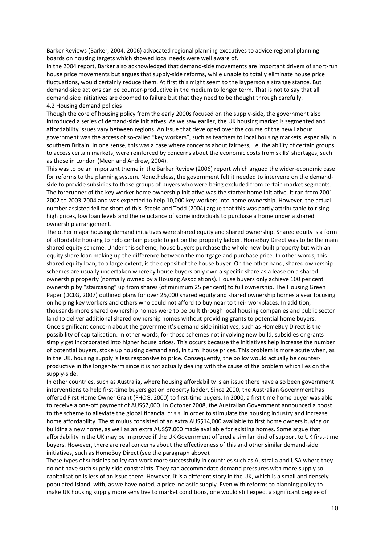Barker Reviews (Barker, 2004, 2006) advocated regional planning executives to advice regional planning boards on housing targets which showed local needs were well aware of.

In the 2004 report, Barker also acknowledged that demand-side movements are important drivers of short-run house price movements but argues that supply‐side reforms, while unable to totally eliminate house price fluctuations, would certainly reduce them. At first this might seem to the layperson a strange stance. But demand‐side actions can be counter‐productive in the medium to longer term. That is not to say that all demand‐side initiatives are doomed to failure but that they need to be thought through carefully. 4.2 Housing demand policies

Though the core of housing policy from the early 2000s focused on the supply‐side, the government also introduced a series of demand‐side initiatives. As we saw earlier, the UK housing market is segmented and affordability issues vary between regions. An issue that developed over the course of the new Labour government was the access of so‐called "key workers", such as teachers to local housing markets, especially in southern Britain. In one sense, this was a case where concerns about fairness, i.e. the ability of certain groups to access certain markets, were reinforced by concerns about the economic costs from skills' shortages, such as those in London (Meen and Andrew, 2004).

This was to be an important theme in the Barker Review (2006) report which argued the wider‐economic case for reforms to the planning system. Nonetheless, the government felt it needed to intervene on the demandside to provide subsidies to those groups of buyers who were being excluded from certain market segments. The forerunner of the key worker home ownership initiative was the starter home initiative. It ran from 2001‐ 2002 to 2003‐2004 and was expected to help 10,000 key workers into home ownership. However, the actual number assisted fell far short of this. Steele and Todd (2004) argue that this was partly attributable to rising high prices, low loan levels and the reluctance of some individuals to purchase a home under a shared ownership arrangement.

The other major housing demand initiatives were shared equity and shared ownership. Shared equity is a form of affordable housing to help certain people to get on the property ladder. HomeBuy Direct was to be the main shared equity scheme. Under this scheme, house buyers purchase the whole new-built property but with an equity share loan making up the difference between the mortgage and purchase price. In other words, this shared equity loan, to a large extent, is the deposit of the house buyer. On the other hand, shared ownership schemes are usually undertaken whereby house buyers only own a specific share as a lease on a shared ownership property (normally owned by a Housing Associations). House buyers only achieve 100 per cent ownership by "staircasing" up from shares (of minimum 25 per cent) to full ownership. The Housing Green Paper (DCLG, 2007) outlined plans for over 25,000 shared equity and shared ownership homes a year focusing on helping key workers and others who could not afford to buy near to their workplaces. In addition, thousands more shared ownership homes were to be built through local housing companies and public sector land to deliver additional shared ownership homes without providing grants to potential home buyers. Once significant concern about the government's demand‐side initiatives, such as HomeBuy Direct is the possibility of capitalisation. In other words, for those schemes not involving new build, subsidies or grants simply get incorporated into higher house prices. This occurs because the initiatives help increase the number of potential buyers, stoke up housing demand and, in turn, house prices. This problem is more acute when, as in the UK, housing supply is less responsive to price. Consequently, the policy would actually be counter‐ productive in the longer‐term since it is not actually dealing with the cause of the problem which lies on the supply‐side.

In other countries, such as Australia, where housing affordability is an issue there have also been government interventions to help first-time buyers get on property ladder. Since 2000, the Australian Government has offered First Home Owner Grant (FHOG, 2000) to first-time buyers. In 2000, a first time home buyer was able to receive a one‐off payment of AUS\$7,000. In October 2008, the Australian Government announced a boost to the scheme to alleviate the global financial crisis, in order to stimulate the housing industry and increase home affordability. The stimulus consisted of an extra AUS\$14,000 available to first home owners buying or building a new home, as well as an extra AUS\$7,000 made available for existing homes. Some argue that affordability in the UK may be improved if the UK Government offered a similar kind of support to UK first‐time buyers. However, there are real concerns about the effectiveness of this and other similar demand‐side initiatives, such as HomeBuy Direct (see the paragraph above).

These types of subsidies policy can work more successfully in countries such as Australia and USA where they do not have such supply‐side constraints. They can accommodate demand pressures with more supply so capitalisation is less of an issue there. However, it is a different story in the UK, which is a small and densely populated island, with, as we have noted, a price inelastic supply. Even with reforms to planning policy to make UK housing supply more sensitive to market conditions, one would still expect a significant degree of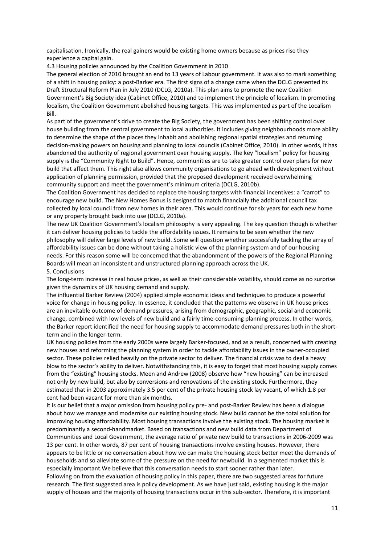capitalisation. Ironically, the real gainers would be existing home owners because as prices rise they experience a capital gain.

4.3 Housing policies announced by the Coalition Government in 2010

The general election of 2010 brought an end to 13 years of Labour government. It was also to mark something of a shift in housing policy: a post‐Barker era. The first signs of a change came when the DCLG presented its Draft Structural Reform Plan in July 2010 (DCLG, 2010a). This plan aims to promote the new Coalition Government's Big Society idea (Cabinet Office, 2010) and to implement the principle of localism. In promoting localism, the Coalition Government abolished housing targets. This was implemented as part of the Localism Bill.

As part of the government's drive to create the Big Society, the government has been shifting control over house building from the central government to local authorities. It includes giving neighbourhoods more ability to determine the shape of the places they inhabit and abolishing regional spatial strategies and returning decision‐making powers on housing and planning to local councils (Cabinet Office, 2010). In other words, it has abandoned the authority of regional government over housing supply. The key "localism" policy for housing supply is the "Community Right to Build". Hence, communities are to take greater control over plans for new build that affect them. This right also allows community organisations to go ahead with development without application of planning permission, provided that the proposed development received overwhelming community support and meet the government's minimum criteria (DCLG, 2010b).

The Coalition Government has decided to replace the housing targets with financial incentives: a "carrot" to encourage new build. The New Homes Bonus is designed to match financially the additional council tax collected by local council from new homes in their area. This would continue for six years for each new home or any property brought back into use (DCLG, 2010a).

The new UK Coalition Government's localism philosophy is very appealing. The key question though is whether it can deliver housing policies to tackle the affordability issues. It remains to be seen whether the new philosophy will deliver large levels of new build. Some will question whether successfully tackling the array of affordability issues can be done without taking a holistic view of the planning system and of our housing needs. For this reason some will be concerned that the abandonment of the powers of the Regional Planning Boards will mean an inconsistent and unstructured planning approach across the UK.

#### 5. Conclusions

The long-term increase in real house prices, as well as their considerable volatility, should come as no surprise given the dynamics of UK housing demand and supply.

The influential Barker Review (2004) applied simple economic ideas and techniques to produce a powerful voice for change in housing policy. In essence, it concluded that the patterns we observe in UK house prices are an inevitable outcome of demand pressures, arising from demographic, geographic, social and economic change, combined with low levels of new build and a fairly time‐consuming planning process. In other words, the Barker report identified the need for housing supply to accommodate demand pressures both in the short‐ term and in the longer‐term.

UK housing policies from the early 2000s were largely Barker‐focused, and as a result, concerned with creating new houses and reforming the planning system in order to tackle affordability issues in the owner‐occupied sector. These policies relied heavily on the private sector to deliver. The financial crisis was to deal a heavy blow to the sector's ability to deliver. Notwithstanding this, it is easy to forget that most housing supply comes from the "existing" housing stocks. Meen and Andrew (2008) observe how "new housing" can be increased not only by new build, but also by conversions and renovations of the existing stock. Furthermore, they estimated that in 2003 approximately 3.5 per cent of the private housing stock lay vacant, of which 1.8 per cent had been vacant for more than six months.

It is our belief that a major omission from housing policy pre‐ and post‐Barker Review has been a dialogue about how we manage and modernise our existing housing stock. New build cannot be the total solution for improving housing affordability. Most housing transactions involve the existing stock. The housing market is predominantly a second‐handmarket. Based on transactions and new build data from Department of Communities and Local Government, the average ratio of private new build to transactions in 2006‐2009 was 13 per cent. In other words, 87 per cent of housing transactions involve existing houses. However, there appears to be little or no conversation about how we can make the housing stock better meet the demands of households and so alleviate some of the pressure on the need for newbuild. In a segmented market this is especially important.We believe that this conversation needs to start sooner rather than later.

Following on from the evaluation of housing policy in this paper, there are two suggested areas for future research. The first suggested area is policy development. As we have just said, existing housing is the major supply of houses and the majority of housing transactions occur in this sub-sector. Therefore, it is important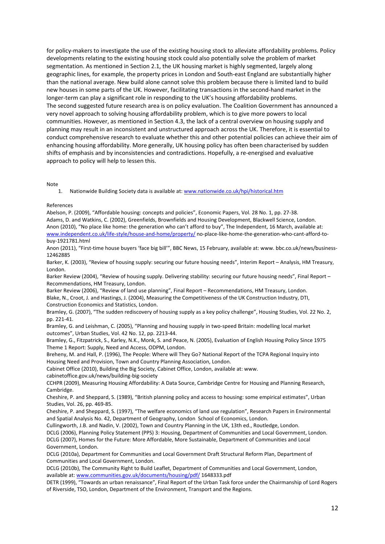for policy-makers to investigate the use of the existing housing stock to alleviate affordability problems. Policy developments relating to the existing housing stock could also potentially solve the problem of market segmentation. As mentioned in Section 2.1, the UK housing market is highly segmented, largely along geographic lines, for example, the property prices in London and South‐east England are substantially higher than the national average. New build alone cannot solve this problem because there is limited land to build new houses in some parts of the UK. However, facilitating transactions in the second‐hand market in the longer‐term can play a significant role in responding to the UK's housing affordability problems. The second suggested future research area is on policy evaluation. The Coalition Government has announced a very novel approach to solving housing affordability problem, which is to give more powers to local communities. However, as mentioned in Section 4.3, the lack of a central overview on housing supply and planning may result in an inconsistent and unstructured approach across the UK. Therefore, it is essential to conduct comprehensive research to evaluate whether this and other potential policies can achieve their aim of enhancing housing affordability. More generally, UK housing policy has often been characterised by sudden shifts of emphasis and by inconsistencies and contradictions. Hopefully, a re‐energised and evaluative approach to policy will help to lessen this.

Note

1. Nationwide Building Society data is available at: www.nationwide.co.uk/hpi/historical.htm

References

Abelson, P. (2009), "Affordable housing: concepts and policies", Economic Papers, Vol. 28 No. 1, pp. 27‐38. Adams, D. and Watkins, C. (2002), Greenfields, Brownfields and Housing Development, Blackwell Science, London. Anon (2010), "No place like home: the generation who can't afford to buy", The Independent, 16 March, available at: www.independent.co.uk/life-style/house-and-home/property/ no-place-like-home-the-generation-who-cant-afford-tobuy‐1921781.html

Anon (2011), "First-time house buyers 'face big bill'", BBC News, 15 February, available at: www. bbc.co.uk/news/business-12462885

Barker, K. (2003), "Review of housing supply: securing our future housing needs", Interim Report – Analysis, HM Treasury, London.

Barker Review (2004), "Review of housing supply. Delivering stability: securing our future housing needs", Final Report – Recommendations, HM Treasury, London.

Barker Review (2006), "Review of land use planning", Final Report – Recommendations, HM Treasury, London. Blake, N., Croot, J. and Hastings, J. (2004), Measuring the Competitiveness of the UK Construction Industry, DTI, Construction Economics and Statistics, London.

Bramley, G. (2007), "The sudden rediscovery of housing supply as a key policy challenge", Housing Studies, Vol. 22 No. 2, pp. 221‐41.

Bramley, G. and Leishman, C. (2005), "Planning and housing supply in two-speed Britain: modelling local market outcomes", Urban Studies, Vol. 42 No. 12, pp. 2213‐44.

Bramley, G., Fitzpatrick, S., Karley, N.K., Monk, S. and Peace, N. (2005), Evaluation of English Housing Policy Since 1975 Theme 1 Report: Supply, Need and Access, ODPM, London.

Breheny, M. and Hall, P. (1996), The People: Where will They Go? National Report of the TCPA Regional Inquiry into Housing Need and Provision, Town and Country Planning Association, London.

Cabinet Office (2010), Building the Big Society, Cabinet Office, London, available at: www.

cabinetoffice.gov.uk/news/building‐big‐society

CCHPR (2009), Measuring Housing Affordability: A Data Source, Cambridge Centre for Housing and Planning Research, Cambridge.

Cheshire, P. and Sheppard, S. (1989), "British planning policy and access to housing: some empirical estimates", Urban Studies, Vol. 26, pp. 469‐85.

Cheshire, P. and Sheppard, S. (1997), "The welfare economics of land use regulation", Research Papers in Environmental and Spatial Analysis No. 42, Department of Geography, London School of Economics, London.

Cullingworth, J.B. and Nadin, V. (2002), Town and Country Planning in the UK, 13th ed., Routledge, London.

DCLG (2006), Planning Policy Statement (PPS) 3: Housing, Department of Communities and Local Government, London.

DCLG (2007), Homes for the Future: More Affordable, More Sustainable, Department of Communities and Local Government, London.

DCLG (2010a), Department for Communities and Local Government Draft Structural Reform Plan, Department of Communities and Local Government, London.

DCLG (2010b), The Community Right to Build Leaflet, Department of Communities and Local Government, London, available at: www.communities.gov.uk/documents/housing/pdf/ 1648333.pdf

DETR (1999), "Towards an urban renaissance", Final Report of the Urban Task force under the Chairmanship of Lord Rogers of Riverside, TSO, London, Department of the Environment, Transport and the Regions.